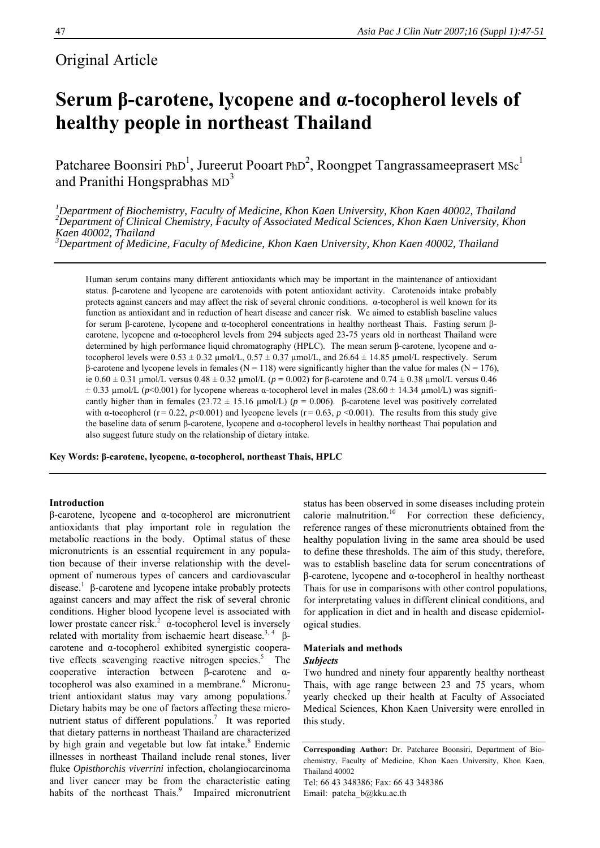# Original Article

# **Serum β-carotene, lycopene and α-tocopherol levels of healthy people in northeast Thailand**

Patcharee Boonsiri PhD<sup>1</sup>, Jureerut Pooart PhD<sup>2</sup>, Roongpet Tangrassameeprasert MSc<sup>1</sup> and Pranithi Hongsprabhas  $MD<sup>3</sup>$ 

<sup>1</sup>Department of Biochemistry, Faculty of Medicine, Khon Kaen University, Khon Kaen 40002, Thailand<br><sup>2</sup>Department of Clinical Chemistry, Faculty of Associated Medical Sciences, Khon Kaen University, Khon *Kaen 40002, Thailand* 

*3 Department of Medicine, Faculty of Medicine, Khon Kaen University, Khon Kaen 40002, Thailand* 

Human serum contains many different antioxidants which may be important in the maintenance of antioxidant status. β-carotene and lycopene are carotenoids with potent antioxidant activity. Carotenoids intake probably protects against cancers and may affect the risk of several chronic conditions. α-tocopherol is well known for its function as antioxidant and in reduction of heart disease and cancer risk. We aimed to establish baseline values for serum β-carotene, lycopene and α-tocopherol concentrations in healthy northeast Thais. Fasting serum βcarotene, lycopene and α-tocopherol levels from 294 subjects aged 23-75 years old in northeast Thailand were determined by high performance liquid chromatography (HPLC). The mean serum β-carotene, lycopene and αtocopherol levels were  $0.53 \pm 0.32$  µmol/L,  $0.57 \pm 0.37$  µmol/L, and  $26.64 \pm 14.85$  µmol/L respectively. Serum β-carotene and lycopene levels in females (N = 118) were significantly higher than the value for males (N = 176), ie 0.60 ± 0.31 µmol/L versus 0.48 ± 0.32 µmol/L (*p* = 0.002) for β-carotene and 0.74 ± 0.38 µmol/L versus 0.46  $\pm$  0.33 µmol/L ( $p$ <0.001) for lycopene whereas  $\alpha$ -tocopherol level in males (28.60  $\pm$  14.34 µmol/L) was significantly higher than in females (23.72  $\pm$  15.16 µmol/L) ( $p = 0.006$ ). β-carotene level was positively correlated with  $\alpha$ -tocopherol (r = 0.22,  $p \le 0.001$ ) and lycopene levels (r = 0.63,  $p \le 0.001$ ). The results from this study give the baseline data of serum β-carotene, lycopene and α-tocopherol levels in healthy northeast Thai population and also suggest future study on the relationship of dietary intake.

**Key Words: β-carotene, lycopene, α-tocopherol, northeast Thais, HPLC** 

## **Introduction**

β-carotene, lycopene and α-tocopherol are micronutrient antioxidants that play important role in regulation the metabolic reactions in the body. Optimal status of these micronutrients is an essential requirement in any population because of their inverse relationship with the development of numerous types of cancers and cardiovascular disease.<sup>1</sup> β-carotene and lycopene intake probably protects against cancers and may affect the risk of several chronic conditions. Higher blood lycopene level is associated with lower prostate cancer risk.<sup>2</sup>  $\alpha$ -tocopherol level is inversely related with mortality from ischaemic heart disease.<sup>3, 4</sup> βcarotene and α-tocopherol exhibited synergistic cooperative effects scavenging reactive nitrogen species.<sup>5</sup> The cooperative interaction between β-carotene and αtocopherol was also examined in a membrane.<sup>6</sup> Micronutrient antioxidant status may vary among populations.<sup>7</sup> Dietary habits may be one of factors affecting these micronutrient status of different populations.<sup>7</sup> It was reported that dietary patterns in northeast Thailand are characterized by high grain and vegetable but low fat intake.<sup>8</sup> Endemic illnesses in northeast Thailand include renal stones, liver fluke *Opisthorchis viverrini* infection, cholangiocarcinoma and liver cancer may be from the characteristic eating habits of the northeast Thais.<sup>9</sup> Impaired micronutrient status has been observed in some diseases including protein calorie malnutrition.<sup>10</sup> For correction these deficiency, reference ranges of these micronutrients obtained from the healthy population living in the same area should be used to define these thresholds. The aim of this study, therefore, was to establish baseline data for serum concentrations of β-carotene, lycopene and α-tocopherol in healthy northeast Thais for use in comparisons with other control populations, for interpretating values in different clinical conditions, and for application in diet and in health and disease epidemiological studies.

#### **Materials and methods** *Subjects*

Two hundred and ninety four apparently healthy northeast Thais, with age range between 23 and 75 years, whom yearly checked up their health at Faculty of Associated Medical Sciences, Khon Kaen University were enrolled in this study.

Tel: 66 43 348386; Fax: 66 43 348386 Email: patcha\_b@kku.ac.th

**Corresponding Author:** Dr. Patcharee Boonsiri, Department of Biochemistry, Faculty of Medicine, Khon Kaen University, Khon Kaen, Thailand 40002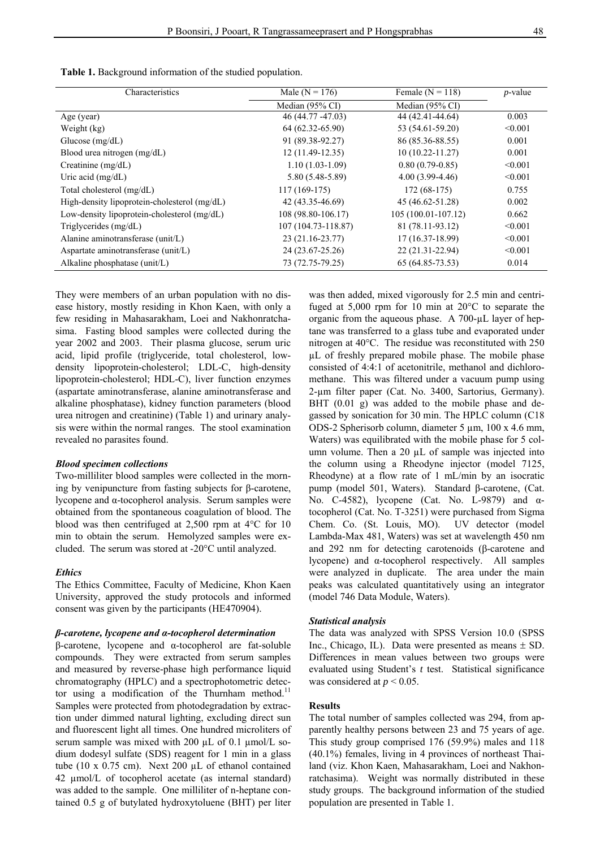**Table 1.** Background information of the studied population.

| Characteristics                              | Male ( $N = 176$ )         | Female ( $N = 118$ ) | $p$ -value |
|----------------------------------------------|----------------------------|----------------------|------------|
|                                              | Median $(95\% \text{ CI})$ | Median $(95\%$ CI    |            |
| Age (year)                                   | 46 (44.77 - 47.03)         | 44 (42.41-44.64)     | 0.003      |
| Weight (kg)                                  | $64(62.32 - 65.90)$        | 53 (54.61-59.20)     | < 0.001    |
| Glucose $(mg/dL)$                            | 91 (89.38-92.27)           | 86 (85.36-88.55)     | 0.001      |
| Blood urea nitrogen (mg/dL)                  | $12(11.49-12.35)$          | $10(10.22 - 11.27)$  | 0.001      |
| Creatinine $(mg/dL)$                         | $1.10(1.03-1.09)$          | $0.80(0.79-0.85)$    | < 0.001    |
| Uric acid $(mg/dL)$                          | $5.80(5.48-5.89)$          | $4.00(3.99-4.46)$    | < 0.001    |
| Total cholesterol (mg/dL)                    | $117(169-175)$             | $172(68-175)$        | 0.755      |
| High-density lipoprotein-cholesterol (mg/dL) | 42 (43.35-46.69)           | 45 (46.62-51.28)     | 0.002      |
| Low-density lipoprotein-cholesterol (mg/dL)  | 108 (98.80-106.17)         | $105(100.01-107.12)$ | 0.662      |
| Triglycerides (mg/dL)                        | 107 (104.73-118.87)        | 81 (78.11-93.12)     | < 0.001    |
| Alanine aminotransferase (unit/L)            | 23 (21.16-23.77)           | 17 (16.37-18.99)     | < 0.001    |
| Aspartate aminotransferase (unit/L)          | 24 (23.67-25.26)           | 22 (21.31-22.94)     | < 0.001    |
| Alkaline phosphatase (unit/L)                | 73 (72.75-79.25)           | $65(64.85-73.53)$    | 0.014      |

They were members of an urban population with no disease history, mostly residing in Khon Kaen, with only a few residing in Mahasarakham, Loei and Nakhonratchasima. Fasting blood samples were collected during the year 2002 and 2003. Their plasma glucose, serum uric acid, lipid profile (triglyceride, total cholesterol, lowdensity lipoprotein-cholesterol; LDL-C, high-density lipoprotein-cholesterol; HDL-C), liver function enzymes (aspartate aminotransferase, alanine aminotransferase and alkaline phosphatase), kidney function parameters (blood urea nitrogen and creatinine) (Table 1) and urinary analysis were within the normal ranges. The stool examination revealed no parasites found.

#### *Blood specimen collections*

Two-milliliter blood samples were collected in the morning by venipuncture from fasting subjects for β-carotene, lycopene and α-tocopherol analysis. Serum samples were obtained from the spontaneous coagulation of blood. The blood was then centrifuged at 2,500 rpm at 4°C for 10 min to obtain the serum. Hemolyzed samples were excluded. The serum was stored at -20°C until analyzed.

#### *Ethics*

The Ethics Committee, Faculty of Medicine, Khon Kaen University, approved the study protocols and informed consent was given by the participants (HE470904).

#### *β-carotene, lycopene and α-tocopherol determination*

β-carotene, lycopene and α-tocopherol are fat-soluble compounds. They were extracted from serum samples and measured by reverse-phase high performance liquid chromatography (HPLC) and a spectrophotometric detector using a modification of the Thurnham method.<sup>11</sup> Samples were protected from photodegradation by extraction under dimmed natural lighting, excluding direct sun and fluorescent light all times. One hundred microliters of serum sample was mixed with 200 µL of 0.1 µmol/L sodium dodesyl sulfate (SDS) reagent for 1 min in a glass tube (10 x 0.75 cm). Next 200 µL of ethanol contained 42 µmol/L of tocopherol acetate (as internal standard) was added to the sample. One milliliter of n-heptane contained 0.5 g of butylated hydroxytoluene (BHT) per liter was then added, mixed vigorously for 2.5 min and centrifuged at 5,000 rpm for 10 min at 20°C to separate the organic from the aqueous phase. A 700-µL layer of heptane was transferred to a glass tube and evaporated under nitrogen at 40°C. The residue was reconstituted with 250 µL of freshly prepared mobile phase. The mobile phase consisted of 4:4:1 of acetonitrile, methanol and dichloromethane. This was filtered under a vacuum pump using 2-µm filter paper (Cat. No. 3400, Sartorius, Germany). BHT (0.01 g) was added to the mobile phase and degassed by sonication for 30 min. The HPLC column (C18 ODS-2 Spherisorb column, diameter 5 µm, 100 x 4.6 mm, Waters) was equilibrated with the mobile phase for 5 column volume. Then a 20 µL of sample was injected into the column using a Rheodyne injector (model 7125, Rheodyne) at a flow rate of 1 mL/min by an isocratic pump (model 501, Waters). Standard β-carotene, (Cat. No. C-4582), lycopene (Cat. No. L-9879) and αtocopherol (Cat. No. T-3251) were purchased from Sigma Chem. Co. (St. Louis, MO). UV detector (model Lambda-Max 481, Waters) was set at wavelength 450 nm and 292 nm for detecting carotenoids (β-carotene and lycopene) and α-tocopherol respectively. All samples were analyzed in duplicate. The area under the main peaks was calculated quantitatively using an integrator (model 746 Data Module, Waters).

#### *Statistical analysis*

The data was analyzed with SPSS Version 10.0 (SPSS Inc., Chicago, IL). Data were presented as means  $\pm$  SD. Differences in mean values between two groups were evaluated using Student's *t* test. Statistical significance was considered at  $p < 0.05$ .

#### **Results**

The total number of samples collected was 294, from apparently healthy persons between 23 and 75 years of age. This study group comprised 176 (59.9%) males and 118 (40.1%) females, living in 4 provinces of northeast Thailand (viz. Khon Kaen, Mahasarakham, Loei and Nakhonratchasima). Weight was normally distributed in these study groups. The background information of the studied population are presented in Table 1.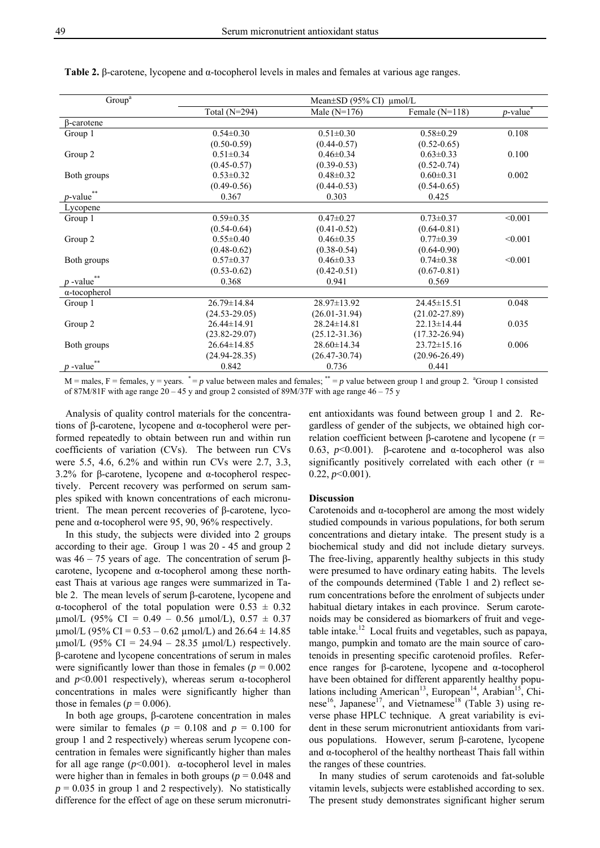| Group <sup>a</sup>      | Mean $\pm$ SD (95% CI) $\mu$ mol/L |                   |                   |                         |  |  |
|-------------------------|------------------------------------|-------------------|-------------------|-------------------------|--|--|
|                         | Total $(N=294)$                    | Male $(N=176)$    | Female $(N=118)$  | $p$ -value <sup>*</sup> |  |  |
| $\beta$ -carotene       |                                    |                   |                   |                         |  |  |
| Group 1                 | $0.54 \pm 0.30$                    | $0.51 \pm 0.30$   | $0.58 \pm 0.29$   | 0.108                   |  |  |
|                         | $(0.50 - 0.59)$                    | $(0.44 - 0.57)$   | $(0.52 - 0.65)$   |                         |  |  |
| Group 2                 | $0.51 \pm 0.34$                    | $0.46 \pm 0.34$   | $0.63 \pm 0.33$   | 0.100                   |  |  |
|                         | $(0.45 - 0.57)$                    | $(0.39 - 0.53)$   | $(0.52 - 0.74)$   |                         |  |  |
| Both groups             | $0.53 \pm 0.32$                    | $0.48 \pm 0.32$   | $0.60 \pm 0.31$   | 0.002                   |  |  |
|                         | $(0.49 - 0.56)$                    | $(0.44 - 0.53)$   | $(0.54 - 0.65)$   |                         |  |  |
| $p$ -value**            | 0.367                              | 0.303             | 0.425             |                         |  |  |
| Lycopene                |                                    |                   |                   |                         |  |  |
| Group 1                 | $0.59 \pm 0.35$                    | $0.47 \pm 0.27$   | $0.73 \pm 0.37$   | < 0.001                 |  |  |
|                         | $(0.54 - 0.64)$                    | $(0.41 - 0.52)$   | $(0.64 - 0.81)$   |                         |  |  |
| Group 2                 | $0.55 \pm 0.40$                    | $0.46 \pm 0.35$   | $0.77 \pm 0.39$   | < 0.001                 |  |  |
|                         | $(0.48 - 0.62)$                    | $(0.38 - 0.54)$   | $(0.64 - 0.90)$   |                         |  |  |
| Both groups             | $0.57 \pm 0.37$                    | $0.46 \pm 0.33$   | $0.74 \pm 0.38$   | < 0.001                 |  |  |
|                         | $(0.53 - 0.62)$                    | $(0.42 - 0.51)$   | $(0.67 - 0.81)$   |                         |  |  |
| $p$ -value**            | 0.368                              | 0.941             | 0.569             |                         |  |  |
| $\alpha$ -tocopherol    |                                    |                   |                   |                         |  |  |
| Group 1                 | $26.79 \pm 14.84$                  | $28.97 \pm 13.92$ | $24.45 \pm 15.51$ | 0.048                   |  |  |
|                         | $(24.53 - 29.05)$                  | $(26.01 - 31.94)$ | $(21.02 - 27.89)$ |                         |  |  |
| Group 2                 | $26.44 \pm 14.91$                  | $28.24 \pm 14.81$ | $22.13 \pm 14.44$ | 0.035                   |  |  |
|                         | $(23.82 - 29.07)$                  | $(25.12 - 31.36)$ | $(17.32 - 26.94)$ |                         |  |  |
| Both groups             | $26.64 \pm 14.85$                  | $28.60 \pm 14.34$ | $23.72 \pm 15.16$ | 0.006                   |  |  |
|                         | $(24.94 - 28.35)$                  | $(26.47 - 30.74)$ | $(20.96 - 26.49)$ |                         |  |  |
| $p$ -value <sup>*</sup> | 0.842                              | 0.736             | 0.441             |                         |  |  |

**Table 2.** β-carotene, lycopene and α-tocopherol levels in males and females at various age ranges.

 $M =$  males,  $F =$  females,  $y =$  years.  $\dot{p} = p$  value between males and females;  $\dot{p} = p$  value between group 1 and group 2.  $\partial^2 G$  are  $\partial^2 G$  are  $\partial^2 G$ of 87M/81F with age range 20 – 45 y and group 2 consisted of 89M/37F with age range 46 – 75 y

Analysis of quality control materials for the concentrations of β-carotene, lycopene and α-tocopherol were performed repeatedly to obtain between run and within run coefficients of variation (CVs). The between run CVs were 5.5, 4.6, 6.2% and within run CVs were 2.7, 3.3, 3.2% for β-carotene, lycopene and α-tocopherol respectively. Percent recovery was performed on serum samples spiked with known concentrations of each micronutrient. The mean percent recoveries of β-carotene, lycopene and α-tocopherol were 95, 90, 96% respectively.

In this study, the subjects were divided into 2 groups according to their age. Group 1 was 20 - 45 and group 2 was  $46 - 75$  years of age. The concentration of serum βcarotene, lycopene and α-tocopherol among these northeast Thais at various age ranges were summarized in Table 2. The mean levels of serum β-carotene, lycopene and α-tocopherol of the total population were  $0.53 \pm 0.32$ umol/L (95% CI = 0.49 - 0.56  $\mu$ mol/L), 0.57  $\pm$  0.37  $\mu$ mol/L (95% CI = 0.53 – 0.62  $\mu$ mol/L) and 26.64  $\pm$  14.85  $\mu$ mol/L (95% CI = 24.94 – 28.35  $\mu$ mol/L) respectively. β-carotene and lycopene concentrations of serum in males were significantly lower than those in females ( $p = 0.002$ ) and  $p<0.001$  respectively), whereas serum  $\alpha$ -tocopherol concentrations in males were significantly higher than those in females ( $p = 0.006$ ).

In both age groups, β-carotene concentration in males were similar to females ( $p = 0.108$  and  $p = 0.100$  for group 1 and 2 respectively) whereas serum lycopene concentration in females were significantly higher than males for all age range  $(p<0.001)$ .  $\alpha$ -tocopherol level in males were higher than in females in both groups ( $p = 0.048$  and  $p = 0.035$  in group 1 and 2 respectively). No statistically difference for the effect of age on these serum micronutrient antioxidants was found between group 1 and 2. Regardless of gender of the subjects, we obtained high correlation coefficient between β-carotene and lycopene (r = 0.63, *p*<0.001). β-carotene and α-tocopherol was also significantly positively correlated with each other  $(r =$  $0.22, p \leq 0.001$ ).

#### **Discussion**

Carotenoids and α-tocopherol are among the most widely studied compounds in various populations, for both serum concentrations and dietary intake. The present study is a biochemical study and did not include dietary surveys. The free-living, apparently healthy subjects in this study were presumed to have ordinary eating habits. The levels of the compounds determined (Table 1 and 2) reflect serum concentrations before the enrolment of subjects under habitual dietary intakes in each province. Serum carotenoids may be considered as biomarkers of fruit and vegetable intake. $12$  Local fruits and vegetables, such as papaya, mango, pumpkin and tomato are the main source of carotenoids in presenting specific carotenoid profiles. Reference ranges for β-carotene, lycopene and α-tocopherol have been obtained for different apparently healthy populations including American<sup>13</sup>, European<sup>14</sup>, Arabian<sup>15</sup>, Chinese<sup>16</sup>, Japanese<sup>17</sup>, and Vietnamese<sup>18</sup> (Table 3) using reverse phase HPLC technique. A great variability is evident in these serum micronutrient antioxidants from various populations. However, serum β-carotene, lycopene and  $\alpha$ -tocopherol of the healthy northeast Thais fall within the ranges of these countries.

In many studies of serum carotenoids and fat-soluble vitamin levels, subjects were established according to sex. The present study demonstrates significant higher serum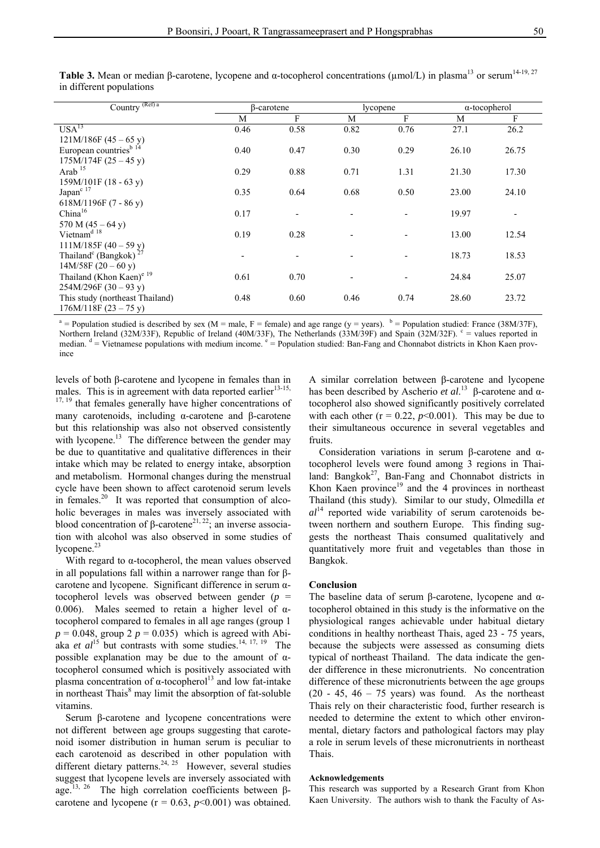| Country <sup>(Ref) a</sup>                    |                          | β-carotene |      | lycopene | $\alpha$ -tocopherol |                          |
|-----------------------------------------------|--------------------------|------------|------|----------|----------------------|--------------------------|
|                                               | M                        | F          | M    | F        | M                    | F                        |
| USA <sup>13</sup>                             | 0.46                     | 0.58       | 0.82 | 0.76     | 27.1                 | 26.2                     |
| $121M/186F(45-65 y)$                          |                          |            |      |          |                      |                          |
| European countries <sup>b 14</sup>            | 0.40                     | 0.47       | 0.30 | 0.29     | 26.10                | 26.75                    |
| $175M/174F(25-45y)$                           |                          |            |      |          |                      |                          |
| Arab $15$                                     | 0.29                     | 0.88       | 0.71 | 1.31     | 21.30                | 17.30                    |
| $159M/101F(18-63y)$                           |                          |            |      |          |                      |                          |
| Japan <sup>c 17</sup>                         | 0.35                     | 0.64       | 0.68 | 0.50     | 23.00                | 24.10                    |
| 618M/1196F $(7 - 86y)$                        |                          |            |      |          |                      |                          |
| China <sup>16</sup>                           | 0.17                     |            |      |          | 19.97                | $\overline{\phantom{a}}$ |
| 570 M $(45 - 64 y)$                           |                          |            |      |          |                      |                          |
| Vietnam <sup>d 18</sup>                       | 0.19                     | 0.28       |      |          | 13.00                | 12.54                    |
| $111M/185F(40-59y)$                           |                          |            |      |          |                      |                          |
| Thailand <sup>c</sup> (Bangkok) <sup>27</sup> | $\overline{\phantom{a}}$ |            |      |          | 18.73                | 18.53                    |
| $14M/58F(20-60y)$                             |                          |            |      |          |                      |                          |
| Thailand (Khon Kaen) <sup>e 19</sup>          | 0.61                     | 0.70       |      |          | 24.84                | 25.07                    |
| $254M/296F(30-93y)$                           |                          |            |      |          |                      |                          |
| This study (northeast Thailand)               | 0.48                     | 0.60       | 0.46 | 0.74     | 28.60                | 23.72                    |
| $176M/118F(23-75y)$                           |                          |            |      |          |                      |                          |

**Table 3.** Mean or median β-carotene, lycopene and α-tocopherol concentrations ( $\mu$ mol/L) in plasma<sup>13</sup> or serum<sup>14-19, 27</sup> in different populations

<sup>a</sup> = Population studied is described by sex (M = male, F = female) and age range (y = years). <sup>b</sup> = Population studied: France (38M/37F), Northern Ireland (32M/33F), Republic of Ireland (40M/33F), The Netherlands (33M/39F) and Spain (32M/32F).  $e =$  values reported in median. <sup>d</sup> = Vietnamese populations with medium income. e = Population studied: Ban-Fang and Chonnabot districts in Khon Kaen province

levels of both β-carotene and lycopene in females than in males. This is in agreement with data reported earlier $13-15$ , <sup>17, 19</sup> that females generally have higher concentrations of many carotenoids, including α-carotene and β-carotene but this relationship was also not observed consistently with lycopene.<sup>13</sup> The difference between the gender may be due to quantitative and qualitative differences in their intake which may be related to energy intake, absorption and metabolism. Hormonal changes during the menstrual cycle have been shown to affect carotenoid serum levels in females. $20$  It was reported that consumption of alcoholic beverages in males was inversely associated with blood concentration of β-carotene<sup>21, 22</sup>; an inverse association with alcohol was also observed in some studies of lycopene.<sup>23</sup>

With regard to α-tocopherol, the mean values observed in all populations fall within a narrower range than for βcarotene and lycopene. Significant difference in serum αtocopherol levels was observed between gender (*p* = 0.006). Males seemed to retain a higher level of  $α$ tocopherol compared to females in all age ranges (group 1  $p = 0.048$ , group 2  $p = 0.035$ ) which is agreed with Abiaka *et al*<sup>15</sup> but contrasts with some studies.<sup>14, 17, 19</sup> The possible explanation may be due to the amount of  $\alpha$ tocopherol consumed which is positively associated with plasma concentration of  $\alpha$ -tocopherol<sup>13</sup> and low fat-intake in northeast Thais<sup>8</sup> may limit the absorption of fat-soluble vitamins.

Serum β-carotene and lycopene concentrations were not different between age groups suggesting that carotenoid isomer distribution in human serum is peculiar to each carotenoid as described in other population with different dietary patterns.<sup>24, 25</sup> However, several studies suggest that lycopene levels are inversely associated with age.<sup>13, 26</sup> The high correlation coefficients between βcarotene and lycopene ( $r = 0.63$ ,  $p < 0.001$ ) was obtained.

A similar correlation between β-carotene and lycopene has been described by Ascherio *et al*. 13 β-carotene and αtocopherol also showed significantly positively correlated with each other  $(r = 0.22, p<0.001)$ . This may be due to their simultaneous occurence in several vegetables and fruits.

Consideration variations in serum β-carotene and αtocopherol levels were found among 3 regions in Thailand: Bangkok<sup>27</sup>, Ban-Fang and Chonnabot districts in Khon Kaen province $19$  and the 4 provinces in northeast Thailand (this study). Similar to our study, Olmedilla *et*   $al<sup>14</sup>$  reported wide variability of serum carotenoids between northern and southern Europe. This finding suggests the northeast Thais consumed qualitatively and quantitatively more fruit and vegetables than those in Bangkok.

#### **Conclusion**

The baseline data of serum β-carotene, lycopene and αtocopherol obtained in this study is the informative on the physiological ranges achievable under habitual dietary conditions in healthy northeast Thais, aged 23 - 75 years, because the subjects were assessed as consuming diets typical of northeast Thailand. The data indicate the gender difference in these micronutrients. No concentration difference of these micronutrients between the age groups  $(20 - 45, 46 - 75$  years) was found. As the northeast Thais rely on their characteristic food, further research is needed to determine the extent to which other environmental, dietary factors and pathological factors may play a role in serum levels of these micronutrients in northeast Thais.

### **Acknowledgements**

This research was supported by a Research Grant from Khon Kaen University. The authors wish to thank the Faculty of As